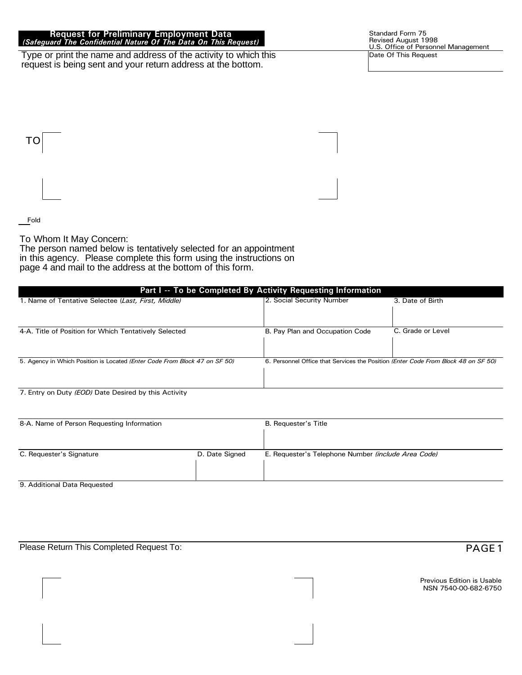#### Request for Preliminary Employment Data (Safeguard The Confidential Nature Of The Data On This Request)

Type or print the name and address of the activity to which this request is being sent and your return address at the bottom.

T<sub>O</sub>

**Fold** 

To Whom It May Concern:

The person named below is tentatively selected for an appointment in this agency. Please complete this form using the instructions on page 4 and mail to the address at the bottom of this form.

| Part I -- To be Completed By Activity Requesting Information                        |                                                                                    |                   |  |  |  |  |  |  |  |
|-------------------------------------------------------------------------------------|------------------------------------------------------------------------------------|-------------------|--|--|--|--|--|--|--|
| 1. Name of Tentative Selectee (Last, First, Middle)                                 | 2. Social Security Number                                                          | 3. Date of Birth  |  |  |  |  |  |  |  |
| 4-A. Title of Position for Which Tentatively Selected                               | B. Pay Plan and Occupation Code                                                    | C. Grade or Level |  |  |  |  |  |  |  |
| 5. Agency in Which Position is Located ( <i>Enter Code From Block 47 on SF 50</i> ) | 6. Personnel Office that Services the Position (Enter Code From Block 48 on SF 50) |                   |  |  |  |  |  |  |  |
| 7 Entry on Duty (EOD) Date Desired by this Activity                                 |                                                                                    |                   |  |  |  |  |  |  |  |

Entry on Duty (*EOD)* Date Desired by this Activity

| 8-A. Name of Person Requesting Information |                | <b>B.</b> Requester's Title                         |  |  |  |  |
|--------------------------------------------|----------------|-----------------------------------------------------|--|--|--|--|
|                                            |                |                                                     |  |  |  |  |
| C. Requester's Signature                   | D. Date Signed | E. Requester's Telephone Number (include Area Code) |  |  |  |  |
| - - - - -<br>.                             |                |                                                     |  |  |  |  |

9. Additional Data Requested

Please Return This Completed Request To: 3 \*(2) \$ \*(3) \$ \*(3) \$ \*(3) \$ \*(3) \$ \*(3) \$ \*(3) \$ \*(3) \$ \*(3) \$ \*(3) \$ \*(3) \$ \*(3) \$ \*(3) \$ \*(3) \$ \*(3) \$ \*(3) \$ \*(3) \$ \*(3) \$ \*(3) \$ \*(3) \$ \*(3) \$ \*(3) \$ \*(3) \$ \*(3) \$ \*(3) \$ \*(3)

Previous Edition is Usable NSN 7540-00-682-6750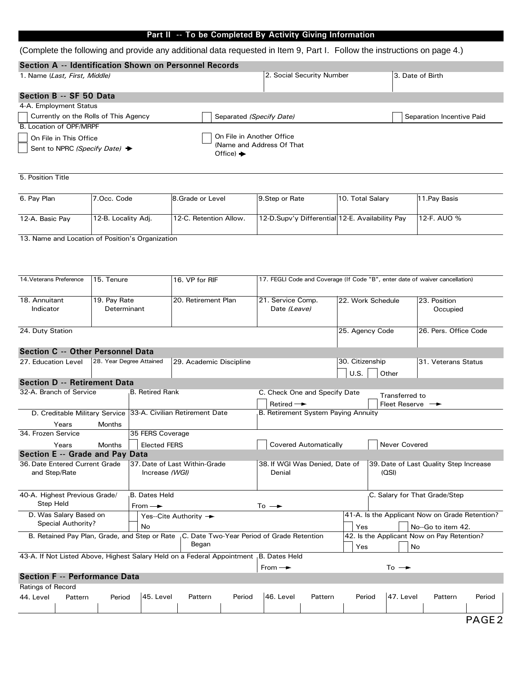### Part II -- To be Completed By Activity Giving Information

#### (Complete the following and provide any additional data requested in Item 9, Part I. Follow the instructions on page 4.)

| Section A -- Identification Shown on Personnel Records |                            |                           |
|--------------------------------------------------------|----------------------------|---------------------------|
| 1. Name (Last, First, Middle)                          | 2. Social Security Number  | 3. Date of Birth          |
| Section B -- SF 50 Data                                |                            |                           |
| 4-A. Employment Status                                 |                            |                           |
| Currently on the Rolls of This Agency                  | Separated (Specify Date)   | Separation Incentive Paid |
| B. Location of OPF/MRPF                                |                            |                           |
| On File in This Office                                 | On File in Another Office  |                           |
| Sent to NPRC (Specify Date) $\rightarrow$              | (Name and Address Of That) |                           |

5. Position Title

| 6. Pav Plan     | 7.Occ. Code                      | 8.Grade or Level       | 9. Step or Rate                                 | 10. Total Salarv | 11. Pav Basis |
|-----------------|----------------------------------|------------------------|-------------------------------------------------|------------------|---------------|
| 12-A. Basic Pay | <sup>1</sup> 12-B. Locality Adj. | 12-C. Retention Allow. | 12-D.Supv'y Differential 12-E. Availability Pay |                  | 12-F. AUO %   |

13. Name and Location of Position's Organization

| 14. Veterans Preference                                                                            | 15. Tenure                                          |                        | 16. VP for RIF                                                                                                 | 17. FEGLI Code and Coverage (If Code "B", enter date of waiver cancellation) |                                                                                   |                                                |  |  |  |  |
|----------------------------------------------------------------------------------------------------|-----------------------------------------------------|------------------------|----------------------------------------------------------------------------------------------------------------|------------------------------------------------------------------------------|-----------------------------------------------------------------------------------|------------------------------------------------|--|--|--|--|
| 18. Annuitant<br>Indicator                                                                         | 19. Pay Rate<br>Determinant                         |                        | 20. Retirement Plan                                                                                            | 21. Service Comp.<br>Date (Leave)                                            | 22. Work Schedule                                                                 | 23. Position<br>Occupied                       |  |  |  |  |
| 24. Duty Station                                                                                   |                                                     |                        |                                                                                                                |                                                                              | 25. Agency Code                                                                   | 26. Pers. Office Code                          |  |  |  |  |
| Section C -- Other Personnel Data                                                                  |                                                     |                        |                                                                                                                |                                                                              |                                                                                   |                                                |  |  |  |  |
| 27. Education Level                                                                                | 28. Year Degree Attained<br>29. Academic Discipline |                        |                                                                                                                |                                                                              | 30. Citizenship<br>31. Veterans Status<br>U.S.<br>Other                           |                                                |  |  |  |  |
| <b>Section D -- Retirement Data</b>                                                                |                                                     |                        |                                                                                                                |                                                                              |                                                                                   |                                                |  |  |  |  |
| 32-A. Branch of Service                                                                            |                                                     | <b>B.</b> Retired Rank |                                                                                                                | C. Check One and Specify Date<br>Retired $\rightarrow$                       | Transferred to                                                                    | Fleet Reserve $\longrightarrow$                |  |  |  |  |
| D. Creditable Military Service 33-A. Civilian Retirement Date<br>Years                             | <b>Months</b>                                       |                        |                                                                                                                | B. Retirement System Paying Annuity                                          |                                                                                   |                                                |  |  |  |  |
| 34. Frozen Service                                                                                 |                                                     | 35 FERS Coverage       |                                                                                                                |                                                                              |                                                                                   |                                                |  |  |  |  |
| Years                                                                                              | <b>Months</b>                                       | <b>Elected FERS</b>    |                                                                                                                | <b>Covered Automatically</b><br>Never Covered                                |                                                                                   |                                                |  |  |  |  |
| Section E -- Grade and Pay Data                                                                    |                                                     |                        |                                                                                                                |                                                                              |                                                                                   |                                                |  |  |  |  |
| 37. Date of Last Within-Grade<br>36. Date Entered Current Grade<br>and Step/Rate<br>Increase (WGI) |                                                     |                        |                                                                                                                | Denial                                                                       | 38. If WGI Was Denied, Date of<br>39. Date of Last Quality Step Increase<br>(OSI) |                                                |  |  |  |  |
| 40-A. Highest Previous Grade/<br>Step Held                                                         |                                                     | <b>B. Dates Held</b>   |                                                                                                                | $To -•$                                                                      |                                                                                   | C. Salary for That Grade/Step                  |  |  |  |  |
| D. Was Salary Based on                                                                             |                                                     | From $\rightarrow$     | Yes--Cite Authority $\rightarrow$                                                                              |                                                                              |                                                                                   | 41-A. Is the Applicant Now on Grade Retention? |  |  |  |  |
| Special Authority?                                                                                 |                                                     | <b>No</b>              |                                                                                                                |                                                                              | Yes                                                                               | No--Go to item 42.                             |  |  |  |  |
|                                                                                                    |                                                     |                        | B. Retained Pay Plan, Grade, and Step or Rate <sub>I</sub> C. Date Two-Year Period of Grade Retention<br>Began |                                                                              | 42. Is the Applicant Now on Pay Retention?<br><b>No</b><br>Yes                    |                                                |  |  |  |  |
|                                                                                                    |                                                     |                        | 43-A. If Not Listed Above, Highest Salary Held on a Federal Appointment B. Dates Held                          |                                                                              |                                                                                   |                                                |  |  |  |  |
|                                                                                                    |                                                     |                        |                                                                                                                | From $\rightarrow$                                                           | $To -+$                                                                           |                                                |  |  |  |  |
| <b>Section F -- Performance Data</b>                                                               |                                                     |                        |                                                                                                                |                                                                              |                                                                                   |                                                |  |  |  |  |
| <b>Ratings of Record</b><br>44. Level<br>Pattern                                                   | Period                                              | 45. Level              | Pattern<br>Period                                                                                              | 46. Level<br>Pattern                                                         | 47. Level<br>Period                                                               | Pattern<br>Period                              |  |  |  |  |
|                                                                                                    |                                                     |                        |                                                                                                                |                                                                              |                                                                                   |                                                |  |  |  |  |
|                                                                                                    |                                                     |                        |                                                                                                                |                                                                              |                                                                                   |                                                |  |  |  |  |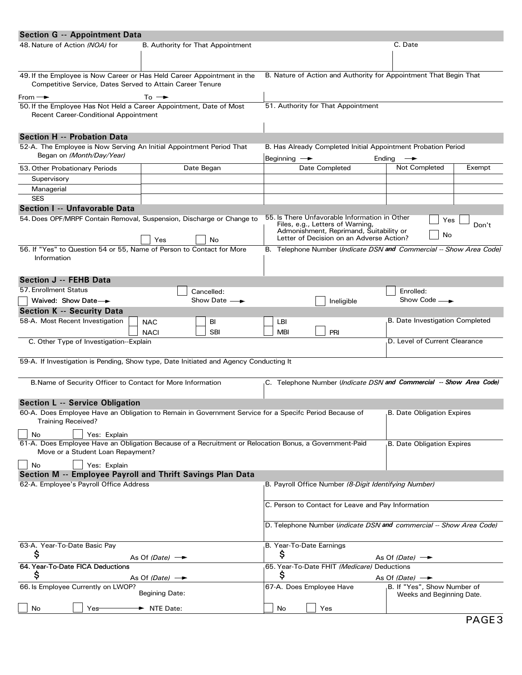| <b>Section G -- Appointment Data</b>                                                                                                        |                                   |                      |                                                                   |                                                                                                                                                                          |                                                                         |        |  |  |  |  |
|---------------------------------------------------------------------------------------------------------------------------------------------|-----------------------------------|----------------------|-------------------------------------------------------------------|--------------------------------------------------------------------------------------------------------------------------------------------------------------------------|-------------------------------------------------------------------------|--------|--|--|--|--|
| 48. Nature of Action (NOA) for                                                                                                              | B. Authority for That Appointment |                      |                                                                   |                                                                                                                                                                          | C. Date                                                                 |        |  |  |  |  |
| 49. If the Employee is Now Career or Has Held Career Appointment in the<br>Competitive Service, Dates Served to Attain Career Tenure        |                                   |                      | B. Nature of Action and Authority for Appointment That Begin That |                                                                                                                                                                          |                                                                         |        |  |  |  |  |
| From $\rightarrow$                                                                                                                          | To $\rightarrow$                  |                      |                                                                   |                                                                                                                                                                          |                                                                         |        |  |  |  |  |
| 50. If the Employee Has Not Held a Career Appointment, Date of Most<br><b>Recent Career-Conditional Appointment</b>                         |                                   |                      |                                                                   | 51. Authority for That Appointment                                                                                                                                       |                                                                         |        |  |  |  |  |
| <b>Section H -- Probation Data</b>                                                                                                          |                                   |                      |                                                                   |                                                                                                                                                                          |                                                                         |        |  |  |  |  |
| 52-A. The Employee is Now Serving An Initial Appointment Period That<br>Began on (Month/Day/Year)                                           |                                   |                      | Beginning $\longrightarrow$                                       |                                                                                                                                                                          | B. Has Already Completed Initial Appointment Probation Period<br>Ending |        |  |  |  |  |
| 53. Other Probationary Periods                                                                                                              |                                   | Date Began           |                                                                   | Date Completed                                                                                                                                                           | Not Completed                                                           | Exempt |  |  |  |  |
| Supervisory                                                                                                                                 |                                   |                      |                                                                   |                                                                                                                                                                          |                                                                         |        |  |  |  |  |
| Managerial                                                                                                                                  |                                   |                      |                                                                   |                                                                                                                                                                          |                                                                         |        |  |  |  |  |
| <b>SES</b>                                                                                                                                  |                                   |                      |                                                                   |                                                                                                                                                                          |                                                                         |        |  |  |  |  |
| Section I -- Unfavorable Data                                                                                                               |                                   |                      |                                                                   |                                                                                                                                                                          |                                                                         |        |  |  |  |  |
| 54. Does OPF/MRPF Contain Removal, Suspension, Discharge or Change to                                                                       |                                   |                      |                                                                   | 55. Is There Unfavorable Information in Other<br>Files, e.g., Letters of Warning,<br>Admonishment, Reprimand, Suitability or<br>Letter of Decision on an Adverse Action? | Yes<br>No                                                               | Don't  |  |  |  |  |
| 56. If "Yes" to Question 54 or 55, Name of Person to Contact for More<br>Information                                                        | Yes                               | No                   |                                                                   |                                                                                                                                                                          | B. Telephone Number (Indicate DSN and Commercial -- Show Area Code)     |        |  |  |  |  |
| Section J -- FEHB Data                                                                                                                      |                                   |                      |                                                                   |                                                                                                                                                                          |                                                                         |        |  |  |  |  |
| 57. Enrollment Status                                                                                                                       |                                   | Cancelled:           |                                                                   |                                                                                                                                                                          | Enrolled:                                                               |        |  |  |  |  |
| Waived: Show Date-                                                                                                                          |                                   | Show Date $-\bullet$ |                                                                   | Ineligible                                                                                                                                                               | Show Code $\_\_\_\_\_\_\$                                               |        |  |  |  |  |
| <b>Section K -- Security Data</b>                                                                                                           |                                   |                      |                                                                   |                                                                                                                                                                          |                                                                         |        |  |  |  |  |
| 58-A. Most Recent Investigation                                                                                                             | <b>NAC</b><br><b>NACI</b>         | BI<br>SBI            | LBI<br><b>MBI</b>                                                 | PRI                                                                                                                                                                      | B. Date Investigation Completed                                         |        |  |  |  |  |
| C. Other Type of Investigation--Explain                                                                                                     |                                   |                      |                                                                   |                                                                                                                                                                          | D. Level of Current Clearance                                           |        |  |  |  |  |
| 59-A. If Investigation is Pending, Show type, Date Initiated and Agency Conducting It                                                       |                                   |                      |                                                                   |                                                                                                                                                                          |                                                                         |        |  |  |  |  |
| B. Name of Security Officer to Contact for More Information                                                                                 |                                   |                      |                                                                   |                                                                                                                                                                          | C. Telephone Number (Indicate DSN and Commercial -- Show Area Code)     |        |  |  |  |  |
| Section L -- Service Obligation                                                                                                             |                                   |                      |                                                                   |                                                                                                                                                                          |                                                                         |        |  |  |  |  |
| 60-A. Does Employee Have an Obligation to Remain in Government Service for a Specifc Period Because of<br><b>Training Received?</b>         |                                   |                      |                                                                   |                                                                                                                                                                          | B. Date Obligation Expires                                              |        |  |  |  |  |
| Yes: Explain<br>No                                                                                                                          |                                   |                      |                                                                   |                                                                                                                                                                          |                                                                         |        |  |  |  |  |
| 61-A. Does Employee Have an Obligation Because of a Recruitment or Relocation Bonus, a Government-Paid<br>Move or a Student Loan Repayment? |                                   |                      |                                                                   |                                                                                                                                                                          | <b>B. Date Obligation Expires</b>                                       |        |  |  |  |  |
| Yes: Explain<br>No                                                                                                                          |                                   |                      |                                                                   |                                                                                                                                                                          |                                                                         |        |  |  |  |  |
| Section M -- Employee Payroll and Thrift Savings Plan Data                                                                                  |                                   |                      |                                                                   |                                                                                                                                                                          |                                                                         |        |  |  |  |  |
| 62-A. Employee's Payroll Office Address                                                                                                     |                                   |                      |                                                                   | B. Payroll Office Number (8-Digit Identifying Number)                                                                                                                    |                                                                         |        |  |  |  |  |
|                                                                                                                                             |                                   |                      | C. Person to Contact for Leave and Pay Information                |                                                                                                                                                                          |                                                                         |        |  |  |  |  |
|                                                                                                                                             |                                   |                      |                                                                   |                                                                                                                                                                          | D. Telephone Number (indicate DSN and commercial -- Show Area Code)     |        |  |  |  |  |
| 63-A. Year-To-Date Basic Pay                                                                                                                |                                   |                      | B. Year-To-Date Earnings                                          |                                                                                                                                                                          |                                                                         |        |  |  |  |  |
| Ş                                                                                                                                           | As Of (Date) $\rightarrow$        |                      | Ş                                                                 |                                                                                                                                                                          | As Of (Date) $\rightarrow$                                              |        |  |  |  |  |
| 64. Year-To-Date FICA Deductions                                                                                                            |                                   |                      | 65. Year-To-Date FHIT (Medicare) Deductions                       |                                                                                                                                                                          |                                                                         |        |  |  |  |  |
| Ş                                                                                                                                           | As Of $(Date)$ $\rightarrow$      |                      | Ş                                                                 |                                                                                                                                                                          | As Of $(Date)$ $\rightarrow$                                            |        |  |  |  |  |
| 66. Is Employee Currently on LWOP?                                                                                                          | Begining Date:                    |                      | 67-A. Does Employee Have                                          |                                                                                                                                                                          | B. If "Yes", Show Number of<br>Weeks and Beginning Date.                |        |  |  |  |  |
| No<br>Yes                                                                                                                                   | The NTE Date:                     |                      | <b>No</b>                                                         | Yes                                                                                                                                                                      |                                                                         |        |  |  |  |  |